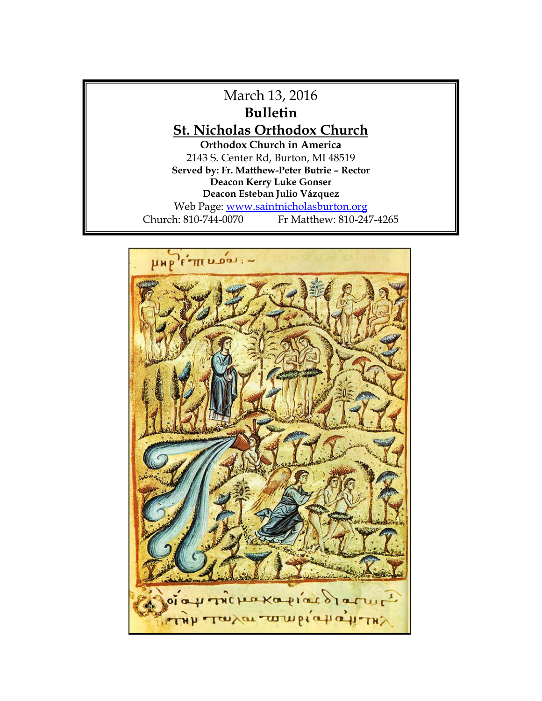

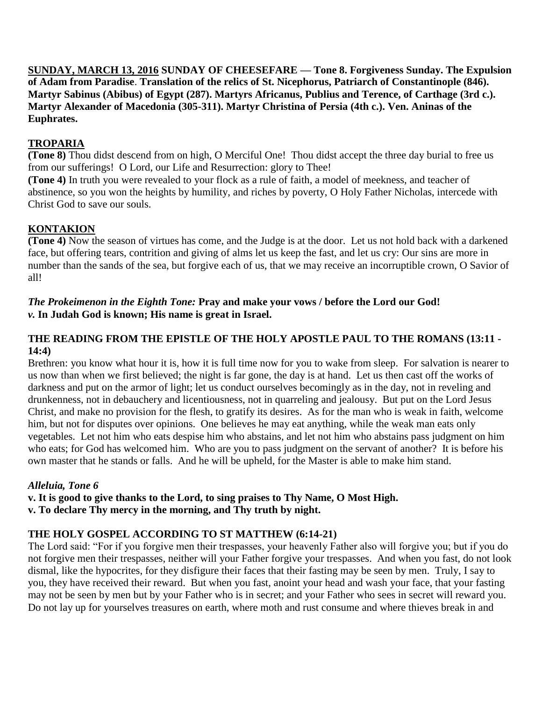**SUNDAY, MARCH 13, 2016 SUNDAY OF CHEESEFARE — Tone 8. Forgiveness Sunday. The Expulsion of Adam from Paradise**. **Translation of the relics of St. Nicephorus, Patriarch of Constantinople (846). Martyr Sabinus (Abibus) of Egypt (287). Martyrs Africanus, Publius and Terence, of Carthage (3rd c.). Martyr Alexander of Macedonia (305-311). Martyr Christina of Persia (4th c.). Ven. Aninas of the Euphrates.**

## **TROPARIA**

**(Tone 8)** Thou didst descend from on high, O Merciful One! Thou didst accept the three day burial to free us from our sufferings! O Lord, our Life and Resurrection: glory to Thee!

**(Tone 4)** In truth you were revealed to your flock as a rule of faith, a model of meekness, and teacher of abstinence, so you won the heights by humility, and riches by poverty, O Holy Father Nicholas, intercede with Christ God to save our souls.

## **KONTAKION**

**(Tone 4)** Now the season of virtues has come, and the Judge is at the door. Let us not hold back with a darkened face, but offering tears, contrition and giving of alms let us keep the fast, and let us cry: Our sins are more in number than the sands of the sea, but forgive each of us, that we may receive an incorruptible crown, O Savior of all!

#### *The Prokeimenon in the Eighth Tone:* **Pray and make your vows / before the Lord our God!** *v.* **In Judah God is known; His name is great in Israel.**

#### **THE READING FROM THE EPISTLE OF THE HOLY APOSTLE PAUL TO THE ROMANS (13:11 - 14:4)**

Brethren: you know what hour it is, how it is full time now for you to wake from sleep. For salvation is nearer to us now than when we first believed; the night is far gone, the day is at hand. Let us then cast off the works of darkness and put on the armor of light; let us conduct ourselves becomingly as in the day, not in reveling and drunkenness, not in debauchery and licentiousness, not in quarreling and jealousy. But put on the Lord Jesus Christ, and make no provision for the flesh, to gratify its desires. As for the man who is weak in faith, welcome him, but not for disputes over opinions. One believes he may eat anything, while the weak man eats only vegetables. Let not him who eats despise him who abstains, and let not him who abstains pass judgment on him who eats; for God has welcomed him. Who are you to pass judgment on the servant of another? It is before his own master that he stands or falls. And he will be upheld, for the Master is able to make him stand.

## *Alleluia, Tone 6*

**v. It is good to give thanks to the Lord, to sing praises to Thy Name, O Most High.**

**v. To declare Thy mercy in the morning, and Thy truth by night.**

## **THE HOLY GOSPEL ACCORDING TO ST MATTHEW (6:14-21)**

The Lord said: "For if you forgive men their trespasses, your heavenly Father also will forgive you; but if you do not forgive men their trespasses, neither will your Father forgive your trespasses. And when you fast, do not look dismal, like the hypocrites, for they disfigure their faces that their fasting may be seen by men. Truly, I say to you, they have received their reward. But when you fast, anoint your head and wash your face, that your fasting may not be seen by men but by your Father who is in secret; and your Father who sees in secret will reward you. Do not lay up for yourselves treasures on earth, where moth and rust consume and where thieves break in and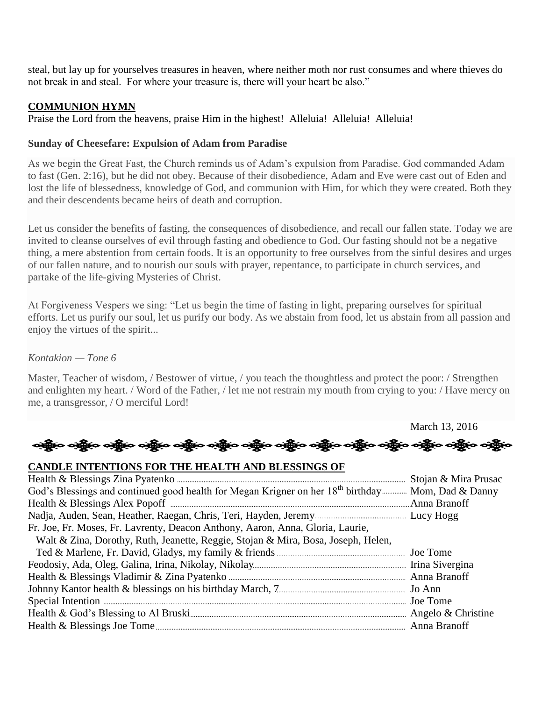steal, but lay up for yourselves treasures in heaven, where neither moth nor rust consumes and where thieves do not break in and steal. For where your treasure is, there will your heart be also."

#### **COMMUNION HYMN**

Praise the Lord from the heavens, praise Him in the highest! Alleluia! Alleluia! Alleluia!

#### **Sunday of Cheesefare: Expulsion of Adam from Paradise**

As we begin the Great Fast, the Church reminds us of Adam's expulsion from Paradise. God commanded Adam to fast (Gen. 2:16), but he did not obey. Because of their disobedience, Adam and Eve were cast out of Eden and lost the life of blessedness, knowledge of God, and communion with Him, for which they were created. Both they and their descendents became heirs of death and corruption.

Let us consider the benefits of fasting, the consequences of disobedience, and recall our fallen state. Today we are invited to cleanse ourselves of evil through fasting and obedience to God. Our fasting should not be a negative thing, a mere abstention from certain foods. It is an opportunity to free ourselves from the sinful desires and urges of our fallen nature, and to nourish our souls with prayer, repentance, to participate in church services, and partake of the life-giving Mysteries of Christ.

At Forgiveness Vespers we sing: "Let us begin the time of fasting in light, preparing ourselves for spiritual efforts. Let us purify our soul, let us purify our body. As we abstain from food, let us abstain from all passion and enjoy the virtues of the spirit...

#### *Kontakion — Tone 6*

Master, Teacher of wisdom, / Bestower of virtue, / you teach the thoughtless and protect the poor: / Strengthen and enlighten my heart. / Word of the Father, / let me not restrain my mouth from crying to you: / Have mercy on me, a transgressor, / O merciful Lord!

March 13, 2016



## **CANDLE INTENTIONS FOR THE HEALTH AND BLESSINGS OF**

| God's Blessings and continued good health for Megan Krigner on her 18 <sup>th</sup> birthday Mom, Dad & Danny<br>Fr. Joe, Fr. Moses, Fr. Lavrenty, Deacon Anthony, Aaron, Anna, Gloria, Laurie,<br>Walt & Zina, Dorothy, Ruth, Jeanette, Reggie, Stojan & Mira, Bosa, Joseph, Helen, |  |
|--------------------------------------------------------------------------------------------------------------------------------------------------------------------------------------------------------------------------------------------------------------------------------------|--|
|                                                                                                                                                                                                                                                                                      |  |
|                                                                                                                                                                                                                                                                                      |  |
|                                                                                                                                                                                                                                                                                      |  |
|                                                                                                                                                                                                                                                                                      |  |
|                                                                                                                                                                                                                                                                                      |  |
|                                                                                                                                                                                                                                                                                      |  |
|                                                                                                                                                                                                                                                                                      |  |
|                                                                                                                                                                                                                                                                                      |  |
|                                                                                                                                                                                                                                                                                      |  |
|                                                                                                                                                                                                                                                                                      |  |
|                                                                                                                                                                                                                                                                                      |  |
|                                                                                                                                                                                                                                                                                      |  |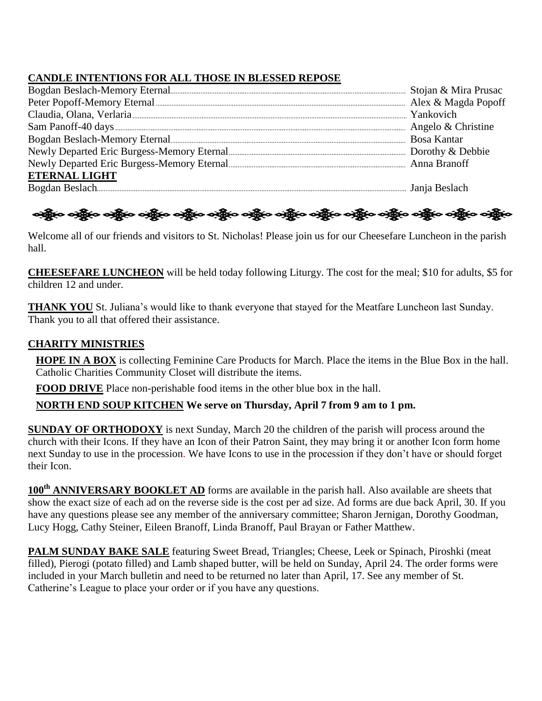# **CANDLE INTENTIONS FOR ALL THOSE IN BLESSED REPOSE**

| <b>ETERNAL LIGHT</b>                         |  |
|----------------------------------------------|--|
| Bogdan Beslach <b>Marshall</b> Janja Beslach |  |

# නමුින නමුින නමුින නමුින නමුින නමුින නමුින නමුින නමුින නමුින නමුින නමුින නමුින

Welcome all of our friends and visitors to St. Nicholas! Please join us for our Cheesefare Luncheon in the parish hall.

**CHEESEFARE LUNCHEON** will be held today following Liturgy. The cost for the meal; \$10 for adults, \$5 for children 12 and under.

**THANK YOU** St. Juliana's would like to thank everyone that stayed for the Meatfare Luncheon last Sunday. Thank you to all that offered their assistance.

# **CHARITY MINISTRIES**

**HOPE IN A BOX** is collecting Feminine Care Products for March. Place the items in the Blue Box in the hall. Catholic Charities Community Closet will distribute the items.

**FOOD DRIVE** Place non-perishable food items in the other blue box in the hall.

## **NORTH END SOUP KITCHEN We serve on Thursday, April 7 from 9 am to 1 pm.**

**SUNDAY OF ORTHODOXY** is next Sunday, March 20 the children of the parish will process around the church with their Icons. If they have an Icon of their Patron Saint, they may bring it or another Icon form home next Sunday to use in the procession. We have Icons to use in the procession if they don't have or should forget their Icon.

**100th ANNIVERSARY BOOKLET AD** forms are available in the parish hall. Also available are sheets that show the exact size of each ad on the reverse side is the cost per ad size. Ad forms are due back April, 30. If you have any questions please see any member of the anniversary committee; Sharon Jernigan, Dorothy Goodman, Lucy Hogg, Cathy Steiner, Eileen Branoff, Linda Branoff, Paul Brayan or Father Matthew.

**PALM SUNDAY BAKE SALE** featuring Sweet Bread, Triangles; Cheese, Leek or Spinach, Piroshki (meat filled), Pierogi (potato filled) and Lamb shaped butter, will be held on Sunday, April 24. The order forms were included in your March bulletin and need to be returned no later than April, 17. See any member of St. Catherine's League to place your order or if you have any questions.